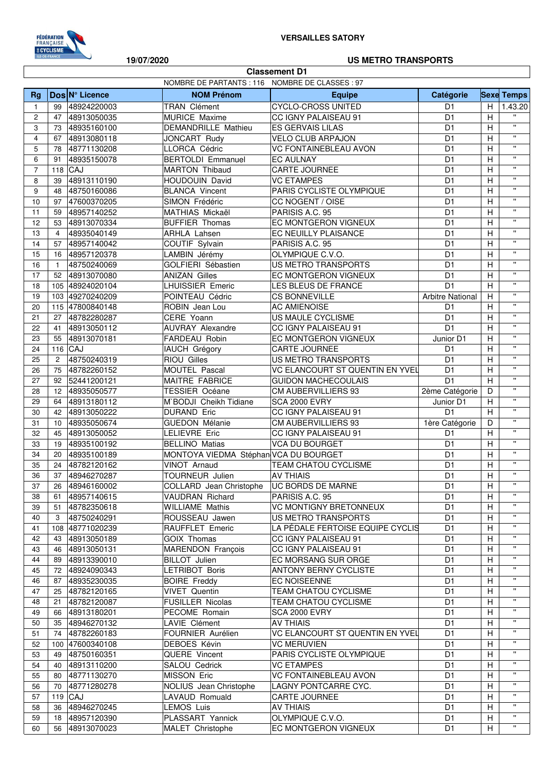

**Classement D1** 

19/07/2020

## **US METRO TRANSPORTS**

|                | NOMBRE DE PARTANTS : 116 NOMBRE DE CLASSES : 97 |                 |                                           |                                  |                         |                           |                         |  |  |
|----------------|-------------------------------------------------|-----------------|-------------------------------------------|----------------------------------|-------------------------|---------------------------|-------------------------|--|--|
| Rg             |                                                 | Dos N° Licence  | <b>NOM Prénom</b>                         | <b>Equipe</b>                    | Catégorie               |                           | <b>Sexe Temps</b>       |  |  |
| $\mathbf{1}$   | 99                                              | 48924220003     | <b>TRAN Clément</b>                       | <b>CYCLO-CROSS UNITED</b>        | D <sub>1</sub>          | H                         | 1.43.20                 |  |  |
| $\overline{c}$ | 47                                              | 48913050035     | MURICE Maxime                             | CC IGNY PALAISEAU 91             | D <sub>1</sub>          | H                         | $\mathbf{H}$            |  |  |
| 3              | 73                                              | 48935160100     | <b>DEMANDRILLE Mathieu</b>                | <b>ES GERVAIS LILAS</b>          | D <sub>1</sub>          | Н                         | $\mathbf{H}$            |  |  |
| $\overline{4}$ | 67                                              | 48913080118     | JONCART Rudy                              | VELO CLUB ARPAJON                | D <sub>1</sub>          | Н                         | $\mathbf{H}$            |  |  |
| 5              | 78                                              | 48771130208     | LLORCA Cédric                             | VC FONTAINEBLEAU AVON            | D <sub>1</sub>          | $\boldsymbol{\mathsf{H}}$ | $\mathbf{u}$            |  |  |
| 6              | 91                                              | 48935150078     | <b>BERTOLDI Emmanuel</b>                  | <b>EC AULNAY</b>                 | D <sub>1</sub>          | H                         | $\mathbf{H}$            |  |  |
| $\overline{7}$ |                                                 | 118 CAJ         | <b>MARTON Thibaud</b>                     | CARTE JOURNEE                    | D <sub>1</sub>          | H                         | $\mathbf{H}$            |  |  |
| 8              | 39                                              | 48913110190     | HOUDOUIN David                            | <b>VC ETAMPES</b>                | D <sub>1</sub>          | H                         | $\mathbf{H}$            |  |  |
| 9              | 48                                              | 48750160086     | <b>BLANCA Vincent</b>                     | PARIS CYCLISTE OLYMPIQUE         | D <sub>1</sub>          | $\boldsymbol{\mathsf{H}}$ | $\mathbf{u}$            |  |  |
| 10             | 97                                              | 47600370205     | SIMON Frédéric                            | CC NOGENT / OISE                 | D <sub>1</sub>          | $\boldsymbol{\mathsf{H}}$ | $\mathbf{H}$            |  |  |
| 11             | 59                                              | 48957140252     | MATHIAS Mickaël                           | PARISIS A.C. 95                  | D <sub>1</sub>          | H                         | $\overline{\mathbf{u}}$ |  |  |
| 12             | 53                                              | 48913070334     | <b>BUFFIER Thomas</b>                     | EC MONTGERON VIGNEUX             | D <sub>1</sub>          | H                         | $\mathbf{H}$            |  |  |
| 13             | $\overline{4}$                                  | 48935040149     | <b>ARHLA Lahsen</b>                       | EC NEUILLY PLAISANCE             | D <sub>1</sub>          | H                         | $\mathbf{H}$            |  |  |
| 14             | 57                                              | 48957140042     | COUTIF Sylvain                            | PARISIS A.C. 95                  | D <sub>1</sub>          | H                         | $\mathbf{H}$            |  |  |
| 15             | 16                                              | 48957120378     | LAMBIN Jérémy                             | OLYMPIQUE C.V.O.                 | D <sub>1</sub>          | H                         | $\mathbf{H}$            |  |  |
| 16             | $\mathbf{1}$                                    | 48750240069     | GOLFIERI Sébastien                        | US METRO TRANSPORTS              | D <sub>1</sub>          | Н                         | $\mathbf{H}$            |  |  |
| 17             | 52                                              | 48913070080     | <b>ANIZAN Gilles</b>                      | EC MONTGERON VIGNEUX             | D <sub>1</sub>          | H                         | $\mathbf{H}$            |  |  |
| 18             | 105                                             | 48924020104     | LHUISSIER Emeric                          | LES BLEUS DE FRANCE              | $\overline{D1}$         | $\overline{H}$            | $\mathbf{H}$            |  |  |
| 19             |                                                 | 103 49270240209 | POINTEAU Cédric                           | <b>CS BONNEVILLE</b>             | <b>Arbitre National</b> | H                         | $\mathbf{H}$            |  |  |
| 20             |                                                 | 115 47800840148 | ROBIN Jean Lou                            | <b>AC AMIENOISE</b>              | D1                      | H                         | $\mathbf{H}$            |  |  |
| 21             | 27                                              | 48782280287     | CERE Yoann                                | US MAULE CYCLISME                | D <sub>1</sub>          | H                         | $\mathbf{u}$            |  |  |
| 22             | 41                                              | 48913050112     | <b>AUVRAY Alexandre</b>                   | CC IGNY PALAISEAU 91             | D <sub>1</sub>          | H                         | $\mathbf{H}$            |  |  |
| 23             | 55                                              | 48913070181     | FARDEAU Robin                             | EC MONTGERON VIGNEUX             | Junior D1               | H                         | $\mathbf{H}$            |  |  |
| 24             | 116                                             | <b>CAJ</b>      |                                           |                                  |                         | H                         | $\mathbf{u}$            |  |  |
|                |                                                 |                 | IAUCH Grégory                             | <b>CARTE JOURNEE</b>             | D <sub>1</sub>          |                           | $\mathbf{H}$            |  |  |
| 25             | $\overline{2}$                                  | 48750240319     | RIOU Gilles                               | US METRO TRANSPORTS              | D <sub>1</sub>          | Н                         | $\mathbf{H}$            |  |  |
| 26             | 75                                              | 48782260152     | MOUTEL Pascal                             | VC ELANCOURT ST QUENTIN EN YVEL  | D <sub>1</sub>          | Н                         | $\mathbf{H}$            |  |  |
| 27             | 92                                              | 52441200121     | MAITRE FABRICE                            | <b>GUIDON MACHECOULAIS</b>       | D <sub>1</sub>          | H                         | $\mathbf{H}$            |  |  |
| 28             | 12                                              | 48935050577     | TESSIER Océane                            | CM AUBERVILLIERS 93              | 2ème Catégorie          | D                         | $\mathbf{H}$            |  |  |
| 29             | 64                                              | 48913180112     | M`BODJI Cheikh Tidiane                    | <b>SCA 2000 EVRY</b>             | Junior D1               | H                         | $\mathbf{H}$            |  |  |
| 30             | 42                                              | 48913050222     | <b>DURAND Eric</b>                        | CC IGNY PALAISEAU 91             | D <sub>1</sub>          | $\overline{H}$            | $\mathbf{H}$            |  |  |
| 31             | 10                                              | 48935050674     | <b>GUEDON Mélanie</b>                     | CM AUBERVILLIERS 93              | 1ère Catégorie          | D                         | $\mathbf{H}$            |  |  |
| 32             | 45                                              | 48913050052     | <b>LELIEVRE Eric</b>                      | CC IGNY PALAISEAU 91             | D <sub>1</sub>          | H                         | $\overline{\mathbf{u}}$ |  |  |
| 33             | 19                                              | 48935100192     | <b>BELLINO Matias</b>                     | <b>VCA DU BOURGET</b>            | D <sub>1</sub>          | $\overline{H}$            |                         |  |  |
| 34             | 20                                              | 48935100189     | MONTOYA VIEDMA Stéphan VCA DU BOURGET     |                                  | D <sub>1</sub>          | H                         | $\mathbf{H}$            |  |  |
| 35             | 24                                              | 48782120162     | VINOT Arnaud                              | TEAM CHATOU CYCLISME             | D <sub>1</sub>          | H                         | $\mathbf{H}$            |  |  |
| 36             | 37                                              | 48946270287     | TOURNEUR Julien                           | <b>AV THIAIS</b>                 | D <sub>1</sub>          | H                         | $\mathbf{u}$            |  |  |
| 37             |                                                 | 26 48946160002  | COLLARD Jean Christophe UC BORDS DE MARNE |                                  | $\overline{D1}$         | H                         | $\mathbf{H}$            |  |  |
| 38             | 61                                              | 48957140615     | <b>VAUDRAN Richard</b>                    | PARISIS A.C. 95                  | D <sub>1</sub>          | Н                         | $\mathbf{H}$            |  |  |
| 39             | 51                                              | 48782350618     | <b>WILLIAME Mathis</b>                    | <b>VC MONTIGNY BRETONNEUX</b>    | D <sub>1</sub>          | Н                         | $\mathbf{H}$            |  |  |
| 40             | 3                                               | 48750240291     | ROUSSEAU Jawen                            | US METRO TRANSPORTS              | D <sub>1</sub>          | Н                         | $\mathbf{H}$            |  |  |
| 41             |                                                 | 108 48771020239 | RAUFFLET Emeric                           | LA PÉDALE FERTOISE EQUIPE CYCLIS | D <sub>1</sub>          | H                         | $\mathbf{H}$            |  |  |
| 42             | 43                                              | 48913050189     | <b>GOIX Thomas</b>                        | CC IGNY PALAISEAU 91             | D1                      | Н                         |                         |  |  |
| 43             | 46                                              | 48913050131     | <b>MARENDON François</b>                  | CC IGNY PALAISEAU 91             | D <sub>1</sub>          | H                         | $\mathbf{H}$            |  |  |
| 44             | 89                                              | 48913390010     | <b>BILLOT</b> Julien                      | EC MORSANG SUR ORGE              | D <sub>1</sub>          | H                         | $\mathbf{H}$            |  |  |
| 45             |                                                 | 72 48924090343  | <b>LETRIBOT Boris</b>                     | <b>ANTONY BERNY CYCLISTE</b>     | D <sub>1</sub>          | H                         | $\mathbf{H}$            |  |  |
| 46             | 87                                              | 48935230035     | <b>BOIRE Freddy</b>                       | EC NOISEENNE                     | D <sub>1</sub>          | H                         | $\mathbf{H}$            |  |  |
| 47             | 25                                              | 48782120165     | <b>VIVET Quentin</b>                      | <b>TEAM CHATOU CYCLISME</b>      | D <sub>1</sub>          | H                         | $\mathbf{H}$            |  |  |
| 48             | 21                                              | 48782120087     | <b>FUSILLER Nicolas</b>                   | TEAM CHATOU CYCLISME             | D <sub>1</sub>          | H                         | $\mathbf{H}$            |  |  |
| 49             | 66                                              | 48913180201     | PECOME Romain                             | <b>SCA 2000 EVRY</b>             | D <sub>1</sub>          | H                         | $\mathbf{H}$            |  |  |
| 50             | 35                                              | 48946270132     | LAVIE Clément                             | <b>AV THIAIS</b>                 | D <sub>1</sub>          | Н                         | $\mathbf{H}$            |  |  |
| 51             | 74                                              | 48782260183     | FOURNIER Aurélien                         | VC ELANCOURT ST QUENTIN EN YVEL  | D <sub>1</sub>          | Н                         | $\mathbf{H}$            |  |  |
| 52             |                                                 | 100 47600340108 | DEBOES Kévin                              | <b>VC MERUVIEN</b>               | D <sub>1</sub>          | Н                         | $\mathbf{H}$            |  |  |
| 53             | 49                                              | 48750160351     | QUERE Vincent                             | PARIS CYCLISTE OLYMPIQUE         | D <sub>1</sub>          | Н                         | $\mathbf{H}$            |  |  |
| 54             | 40                                              | 48913110200     | SALOU Cedrick                             | <b>VC ETAMPES</b>                | D <sub>1</sub>          | Н                         | $\mathbf{H}$            |  |  |
| 55             | 80                                              | 48771130270     | MISSON Eric                               | VC FONTAINEBLEAU AVON            | D <sub>1</sub>          | H                         | $\mathbf{H}$            |  |  |
| 56             | 70                                              | 48771280278     | NOLIUS Jean Christophe                    | LAGNY PONTCARRE CYC.             | D <sub>1</sub>          | Н                         | $\mathbf{H}$            |  |  |
| 57             |                                                 | $119$ CAJ       | LAVAUD Romuald                            | <b>CARTE JOURNEE</b>             | D <sub>1</sub>          | Н                         | $\mathbf{H}$            |  |  |
| 58             | 36                                              | 48946270245     | LEMOS Luis                                | <b>AV THIAIS</b>                 | D <sub>1</sub>          | H                         | $\mathbf{H}$            |  |  |
| 59             | 18                                              | 48957120390     | PLASSART Yannick                          | OLYMPIQUE C.V.O.                 | D <sub>1</sub>          | H                         | $\mathbf{H}$            |  |  |
| 60             |                                                 | 56 48913070023  | MALET Christophe                          | EC MONTGERON VIGNEUX             | D1                      | H                         | $\mathbf{H}$            |  |  |
|                |                                                 |                 |                                           |                                  |                         |                           |                         |  |  |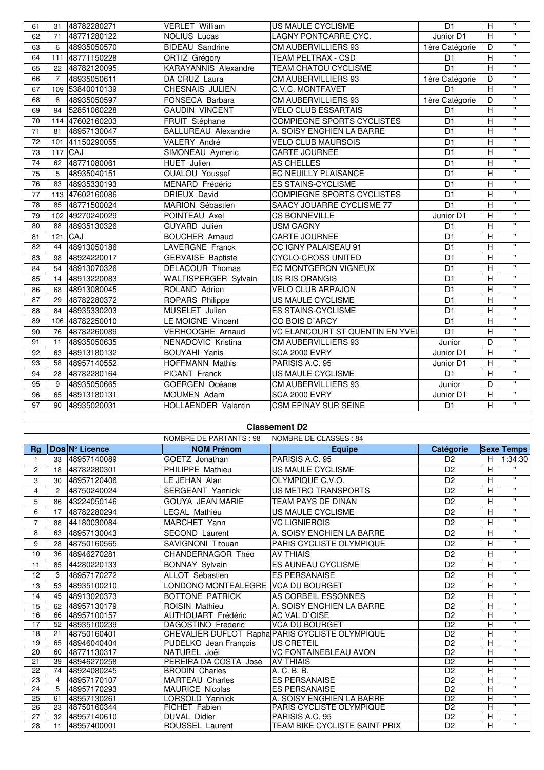| 61 | 31             | 48782280271     | <b>VERLET William</b>       | US MAULE CYCLISME                 | D <sub>1</sub>  | H              | $\mathbf{u}$            |
|----|----------------|-----------------|-----------------------------|-----------------------------------|-----------------|----------------|-------------------------|
| 62 | 71             | 48771280122     | <b>NOLIUS Lucas</b>         | LAGNY PONTCARRE CYC.              | Junior D1       | H              | $\mathbf{u}$            |
| 63 | 6              | 48935050570     | <b>BIDEAU</b> Sandrine      | CM AUBERVILLIERS 93               | 1ère Catégorie  | D              | $\mathbf{H}$            |
| 64 |                | 111 48771150228 | ORTIZ Grégory               | <b>TEAM PELTRAX - CSD</b>         | D <sub>1</sub>  | H              | $\mathbf{H}$            |
| 65 | 22             | 48782120095     | <b>KARAYANNIS Alexandre</b> | <b>TEAM CHATOU CYCLISME</b>       | D <sub>1</sub>  | $\overline{H}$ | $\mathbf{H}$            |
| 66 | $\overline{7}$ | 48935050611     | DA CRUZ Laura               | <b>CM AUBERVILLIERS 93</b>        | 1ère Catégorie  | D              | $\mathbf{u}$            |
| 67 |                | 109 53840010139 | CHESNAIS JULIEN             | C.V.C. MONTFAVET                  | D <sub>1</sub>  | H              | $\mathbf{H}$            |
| 68 | 8              | 48935050597     | FONSECA Barbara             | CM AUBERVILLIERS 93               | 1ère Catégorie  | D              | $\mathbf{H}$            |
| 69 | 94             | 52851060228     | <b>GAUDIN VINCENT</b>       | <b>VELO CLUB ESSARTAIS</b>        | D <sub>1</sub>  | Η              | $\mathbf{u}$            |
| 70 |                | 114 47602160203 | FRUIT Stéphane              | <b>COMPIEGNE SPORTS CYCLISTES</b> | D <sub>1</sub>  | H              | $\mathbf{u}$            |
| 71 | 81             | 48957130047     | <b>BALLUREAU Alexandre</b>  | A. SOISY ENGHIEN LA BARRE         | D <sub>1</sub>  | H              | $\mathbf{u}$            |
| 72 |                | 101 41150290055 | VALERY André                | <b>VELO CLUB MAURSOIS</b>         | D <sub>1</sub>  | H              | $\mathbf{u}$            |
| 73 |                | $117$ CAJ       | SIMONEAU Aymeric            | <b>CARTE JOURNEE</b>              | D <sub>1</sub>  | H              | $\mathbf{H}$            |
| 74 | 62             | 48771080061     | <b>HUET</b> Julien          | AS CHELLES                        | D <sub>1</sub>  | H              | $\mathbf{u}$            |
| 75 | 5              | 48935040151     | <b>OUALOU Youssef</b>       | EC NEUILLY PLAISANCE              | D <sub>1</sub>  | H              | $\mathbf{u}$            |
| 76 | 83             | 48935330193     | MENARD Frédéric             | <b>ES STAINS-CYCLISME</b>         | D <sub>1</sub>  | $\overline{H}$ | $\mathbf{u}$            |
| 77 |                | 113 47602160086 | DRIEUX David                | <b>COMPIEGNE SPORTS CYCLISTES</b> | D <sub>1</sub>  | H              | $\mathbf{u}$            |
| 78 | 85             | 48771500024     | MARION Sébastien            | SAACY JOUARRE CYCLISME 77         | D <sub>1</sub>  | H              | $\mathbf{u}$            |
| 79 |                | 102 49270240029 | POINTEAU Axel               | <b>CS BONNEVILLE</b>              | Junior D1       | H              | $\mathbf{u}$            |
| 80 | 88             | 48935130326     | GUYARD Julien               | <b>USM GAGNY</b>                  | D <sub>1</sub>  | H              | $\mathbf{H}$            |
| 81 |                | $121$ CAJ       | <b>BOUCHER Arnaud</b>       | CARTE JOURNEE                     | D <sub>1</sub>  | H              | $\mathbf{u}$            |
| 82 | 44             | 48913050186     | LAVERGNE Franck             | CC IGNY PALAISEAU 91              | D <sub>1</sub>  | H              | $\mathbf{u}$            |
| 83 | 98             | 48924220017     | <b>GERVAISE Baptiste</b>    | <b>CYCLO-CROSS UNITED</b>         | D <sub>1</sub>  | H              | $\mathbf{u}$            |
| 84 | 54             | 48913070326     | DELACOUR Thomas             | EC MONTGERON VIGNEUX              | D <sub>1</sub>  | H              | $\mathbf{H}$            |
| 85 | 14             | 48913220083     | WALTISPERGER Sylvain        | <b>US RIS ORANGIS</b>             | D <sub>1</sub>  | Η              | $\mathbf{u}$            |
| 86 | 68             | 48913080045     | ROLAND Adrien               | <b>VELO CLUB ARPAJON</b>          | D <sub>1</sub>  | H              | $\mathbf{H}$            |
| 87 | 29             | 48782280372     | ROPARS Philippe             | US MAULE CYCLISME                 | $\overline{D1}$ | $\overline{H}$ | $\mathbf{u}$            |
| 88 | 84             | 48935330203     | MUSELET Julien              | <b>ES STAINS-CYCLISME</b>         | D <sub>1</sub>  | $\overline{H}$ | $\mathbf{u}$            |
| 89 |                | 106 48782250010 | LE MOIGNE Vincent           | CO BOIS D'ARCY                    | D <sub>1</sub>  | H              | $\mathbf{u}$            |
| 90 | 76             | 48782260089     | <b>VERHOOGHE Arnaud</b>     | VC ELANCOURT ST QUENTIN EN YVEL   | D <sub>1</sub>  | Η              | $\mathbf{u}$            |
| 91 | 11             | 48935050635     | NENADOVIC Kristina          | CM AUBERVILLIERS 93               | Junior          | D              | $\mathbf{u}$            |
| 92 | 63             | 48913180132     | <b>BOUYAHI Yanis</b>        | <b>SCA 2000 EVRY</b>              | Junior D1       | $\overline{H}$ | $\mathbf{u}$            |
| 93 | 58             | 48957140552     | <b>HOFFMANN Mathis</b>      | PARISIS A.C. 95                   | Junior D1       | H              | $\mathbf{u}$            |
| 94 | 28             | 48782280164     | PICANT Franck               | US MAULE CYCLISME                 | D <sub>1</sub>  | H              | $\mathbf{u}$            |
| 95 | 9              | 48935050665     | GOERGEN Océane              | CM AUBERVILLIERS 93               | Junior          | D              | $\overline{\mathbf{u}}$ |
| 96 | 65             | 48913180131     | MOUMEN Adam                 | SCA 2000 EVRY                     | Junior D1       | $\overline{H}$ | $\overline{\mathbf{u}}$ |
| 97 | 90             | 48935020031     | HOLLAENDER Valentin         | <b>CSM EPINAY SUR SEINE</b>       | D <sub>1</sub>  | $\overline{H}$ | $\mathbf{u}$            |

|                |                |                | NOMBRE DE PARTANTS : 98             | NOMBRE DE CLASSES: 84                           |                 |   |                   |
|----------------|----------------|----------------|-------------------------------------|-------------------------------------------------|-----------------|---|-------------------|
| Rg             |                | Dos N° Licence | <b>NOM Prénom</b>                   | <b>Equipe</b>                                   | Catégorie       |   | <b>Sexe Temps</b> |
|                | 33             | 48957140089    | GOETZ Jonathan                      | PARISIS A.C. 95                                 | D <sub>2</sub>  | H | 1:34:30           |
| $\overline{2}$ | 18             | 48782280301    | PHILIPPE Mathieu                    | US MAULE CYCLISME                               | D <sub>2</sub>  | H | $\mathbf{H}$      |
| 3              | 30             | 48957120406    | LE JEHAN Alan                       | OLYMPIQUE C.V.O.                                | D <sub>2</sub>  | н | $\mathbf{H}$      |
| 4              | $\overline{c}$ | 48750240024    | <b>SERGEANT Yannick</b>             | US METRO TRANSPORTS                             | D <sub>2</sub>  | Н | $\mathbf{H}$      |
| 5              | 86             | 43224050146    | <b>GOUYA JEAN MARIE</b>             | TEAM PAYS DE DINAN                              | D <sub>2</sub>  | Н | $\mathbf{H}$      |
| 6              | 17             | 48782280294    | <b>LEGAL Mathieu</b>                | US MAULE CYCLISME                               | D <sub>2</sub>  | н | $\mathbf{H}$      |
| $\overline{7}$ | 88             | 44180030084    | MARCHET Yann                        | <b>VC LIGNIEROIS</b>                            | D <sub>2</sub>  | H | $\mathbf{H}$      |
| 8              | 63             | 48957130043    | <b>SECOND Laurent</b>               | A. SOISY ENGHIEN LA BARRE                       | D <sub>2</sub>  | Н | $\mathbf{H}$      |
| 9              | 28             | 48750160565    | <b>SAVIGNONI Titouan</b>            | PARIS CYCLISTE OLYMPIQUE                        | D <sub>2</sub>  | H | $\mathbf{H}$      |
| 10             | 36             | 48946270281    | CHANDERNAGOR Théo                   | <b>AV THIAIS</b>                                | D <sub>2</sub>  | Н | $\mathbf{H}$      |
| 11             | 85             | 44280220133    | <b>BONNAY Sylvain</b>               | <b>ES AUNEAU CYCLISME</b>                       | D <sub>2</sub>  | Н | $\mathbf{H}$      |
| 12             | 3              | 48957170272    | ALLOT Sébastien                     | <b>ES PERSANAISE</b>                            | D <sub>2</sub>  | Н | $\mathbf{H}$      |
| 13             | 53             | 48935100210    | LONDONO MONTEALEGRE IVCA DU BOURGET |                                                 | D <sub>2</sub>  | н | $\mathbf{H}$      |
| 14             | 45             | 48913020373    | BOTTONE PATRICK                     | AS CORBEIL ESSONNES                             | D <sub>2</sub>  | Н | $\mathbf{H}$      |
| 15             | 62             | 48957130179    | <b>ROISIN Mathieu</b>               | A. SOISY ENGHIEN LA BARRE                       | D <sub>2</sub>  | Н | $\mathbf{H}$      |
| 16             | 66             | 48957100157    | <b>AUTHOUART Frédéric</b>           | AC VAL D'OISE                                   | $\overline{D2}$ | Н | π                 |
| 17             | 52             | 48935100239    | DAGOSTINO Frederic                  | <b>VCA DU BOURGET</b>                           | $\overline{D2}$ | H | $\mathbf{H}$      |
| 18             | 21             | 48750160401    |                                     | CHEVALIER DUFLOT Rapha PARIS CYCLISTE OLYMPIQUE | D <sub>2</sub>  | H | $\mathbf{H}$      |
| 19             | 65             | 48946040404    | PUDELKO Jean François               | <b>US CRETEIL</b>                               | D <sub>2</sub>  | Н | $\mathbf{H}$      |
| 20             | 60             | 48771130317    | NATUREL Joël                        | <b>VC FONTAINEBLEAU AVON</b>                    | D <sub>2</sub>  | H | $\mathbf{H}$      |
| 21             | 39             | 48946270258    | PEREIRA DA COSTA José               | <b>AV THIAIS</b>                                | D <sub>2</sub>  | H | $\mathbf{H}$      |
| 22             | 74             | 48924080245    | <b>BRODIN Charles</b>               | A. C. B. B.                                     | D <sub>2</sub>  | н | $\mathbf{H}$      |
| 23             | 4              | 48957170107    | <b>MARTEAU Charles</b>              | <b>ES PERSANAISE</b>                            | D <sub>2</sub>  | H | $\mathbf{H}$      |
| 24             | 5              | 48957170293    | <b>MAURICE Nicolas</b>              | <b>ES PERSANAISE</b>                            | D <sub>2</sub>  | H | $\mathbf{H}$      |
| 25             | 61             | 48957130261    | LORSOLD Yannick                     | A. SOISY ENGHIEN LA BARRE                       | D <sub>2</sub>  | Н | $\mathbf{H}$      |
| 26             | 23             | 48750160344    | FICHET Fabien                       | PARIS CYCLISTE OLYMPIQUE                        | $\overline{D2}$ | Ĥ | π                 |
| 27             | 32             | 48957140610    | <b>DUVAL Didier</b>                 | PARISIS A.C. 95                                 | D <sub>2</sub>  | Н | $\mathbf{H}$      |
| 28             | 11             | 48957400001    | ROUSSEL Laurent                     | TEAM BIKE CYCLISTE SAINT PRIX                   | D <sub>2</sub>  | н | $\mathbf{H}$      |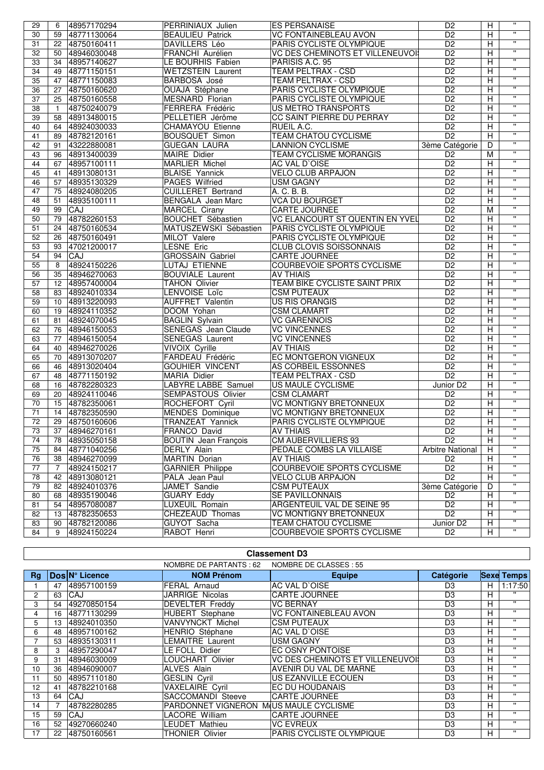| 29 | 6               | 48957170294    | PERRINIAUX Julien                 | <b>ES PERSANAISE</b>                   | D <sub>2</sub>          | н              | $\pmb{\mathsf{H}}$      |
|----|-----------------|----------------|-----------------------------------|----------------------------------------|-------------------------|----------------|-------------------------|
| 30 |                 | 59 48771130064 | <b>BEAULIEU Patrick</b>           | <b>VC FONTAINEBLEAU AVON</b>           | $\overline{D2}$         | H              | $\overline{\mathbf{u}}$ |
| 31 | 22              | 48750160411    | <b>DAVILLERS Léo</b>              | PARIS CYCLISTE OLYMPIQUE               | $\overline{D2}$         | H              | π                       |
| 32 | 50              | 48946030048    | FRANCHI Aurélien                  | VC DES CHEMINOTS ET VILLENEUVOI        | D <sub>2</sub>          | $\overline{H}$ | π                       |
| 33 |                 | 34 48957140627 | LE BOURHIS Fabien                 | PARISIS A.C. 95                        | D <sub>2</sub>          | Н              | π                       |
| 34 | 49              | 48771150151    | <b>WETZSTEIN Laurent</b>          | <b>TEAM PELTRAX - CSD</b>              | D <sub>2</sub>          | H              | $\overline{\mathbf{u}}$ |
| 35 | 47              | 48771150083    | BARBOSA José                      | <b>TEAM PELTRAX - CSD</b>              | D <sub>2</sub>          | Н              | $\pmb{\mathsf{H}}$      |
| 36 | 27              | 48750160620    | OUAJA Stéphane                    | PARIS CYCLISTE OLYMPIQUE               | D <sub>2</sub>          | $\overline{H}$ | $\overline{\mathbf{u}}$ |
| 37 | 25              | 48750160558    | <b>MESNARD Florian</b>            | PARIS CYCLISTE OLYMPIQUE               | D <sub>2</sub>          | Н              | $\overline{\mathbf{u}}$ |
| 38 | $\mathbf{1}$    | 48750240079    | FERRERA Frédéric                  | US METRO TRANSPORTS                    | D <sub>2</sub>          | $\overline{H}$ | π                       |
| 39 | 58              | 48913480015    | PELLETIER Jérôme                  | CC SAINT PIERRE DU PERRAY              | $\overline{D2}$         | $\overline{H}$ | $\overline{\mathbf{u}}$ |
| 40 | 64              | 48924030033    | <b>CHAMAYOU Etienne</b>           | RUEIL A.C.                             | D <sub>2</sub>          | Н              | $\overline{\mathbf{u}}$ |
| 41 | 89              | 48782120161    | <b>BOUSQUET Simon</b>             | <b>TEAM CHATOU CYCLISME</b>            | D <sub>2</sub>          | H              | π                       |
| 42 | 91              | 43222880081    | <b>GUEGAN LAURA</b>               | <b>LANNION CYCLISME</b>                | 3ème Catégorie          | D              | π                       |
| 43 | 96              | 48913400039    | <b>MAIRE</b> Didier               | TEAM CYCLISME MORANGIS                 | D <sub>2</sub>          | M              | π                       |
| 44 |                 |                |                                   |                                        | D <sub>2</sub>          |                | π                       |
| 45 | 67              | 48957100111    | <b>MARLIER Michel</b>             | AC VAL D'OISE                          |                         | н              | π                       |
|    | 41              | 48913080131    | <b>BLAISE Yannick</b>             | <b>VELO CLUB ARPAJON</b>               | D <sub>2</sub>          | $\overline{H}$ | $\mathbf{H}$            |
| 46 | 57              | 48935130329    | <b>PAGES Wilfried</b>             | <b>USM GAGNY</b>                       | D <sub>2</sub>          | н              | π                       |
| 47 | 75              | 48924080205    | <b>CUILLERET Bertrand</b>         | A. C. B. B.                            | D <sub>2</sub>          | $\overline{H}$ | $\overline{\mathbf{u}}$ |
| 48 | 51              | 48935100111    | <b>BENGALA</b> Jean Marc          | <b>VCA DU BOURGET</b>                  | $\overline{D2}$         | Ξ              | π                       |
| 49 | 99              | <b>CAJ</b>     | <b>MARCEL Cirany</b>              | <b>CARTE JOURNEE</b>                   | $\overline{D2}$         | M              | $\overline{\mathbf{u}}$ |
| 50 | 79              | 48782260153    | <b>BOUCHET Sébastien</b>          | <b>VC ELANCOURT ST QUENTIN EN YVEL</b> | D <sub>2</sub>          | Н              |                         |
| 51 | 24              | 48750160534    | MATUSZEWSKI Sébastien             | PARIS CYCLISTE OLYMPIQUE               | D2                      | $\overline{H}$ | π                       |
| 52 | 26              | 48750160491    | <b>MILOT</b> Valere               | PARIS CYCLISTE OLYMPIQUE               | D <sub>2</sub>          | н              | $\overline{\mathbf{u}}$ |
| 53 | 93              | 47021200017    | <b>LESNE Eric</b>                 | <b>CLUB CLOVIS SOISSONNAIS</b>         | D <sub>2</sub>          | H              | $\overline{\mathbf{u}}$ |
| 54 | 94              | CAJ            | <b>GROSSAIN Gabriel</b>           | <b>CARTE JOURNEE</b>                   | D <sub>2</sub>          | $\overline{H}$ | π                       |
| 55 | 8               | 48924150226    | LUTAJ ETIENNE                     | <b>COURBEVOIE SPORTS CYCLISME</b>      | D2                      | $\overline{H}$ | π                       |
| 56 | 35              | 48946270063    | <b>BOUVIALE Laurent</b>           | <b>AV THIAIS</b>                       | D <sub>2</sub>          | H              | π                       |
| 57 |                 | 12 48957400004 | <b>TAHON Olivier</b>              | <b>TEAM BIKE CYCLISTE SAINT PRIX</b>   | D <sub>2</sub>          | Н              | $\overline{\mathbf{u}}$ |
| 58 | 83              | 48924010334    | LENVOISE Loïc                     | <b>CSM PUTEAUX</b>                     | $\overline{D2}$         | Η              | $\overline{\mathbf{u}}$ |
| 59 | 10 <sup>°</sup> | 48913220093    | <b>AUFFRET Valentin</b>           | <b>US RIS ORANGIS</b>                  | D <sub>2</sub>          | H              | π                       |
| 60 | 19              | 48924110352    | DOOM Yohan                        | <b>CSM CLAMART</b>                     | $\overline{D2}$         | H              | $\pmb{\mathsf{H}}$      |
| 61 | 81              | 48924070045    | <b>BAGLIN Sylvain</b>             | <b>VC GARENNOIS</b>                    | D <sub>2</sub>          | $\overline{H}$ | $\overline{\mathbf{u}}$ |
| 62 | 76              | 48946150053    | SENEGAS Jean Claude               | <b>VC VINCENNES</b>                    | D <sub>2</sub>          | Н              | $\overline{\mathbf{u}}$ |
| 63 | 77              | 48946150054    | <b>SENEGAS Laurent</b>            | <b>VC VINCENNES</b>                    | D <sub>2</sub>          | H              | π                       |
| 64 | 40              | 48946270026    | VIVOIX Cyrille                    | <b>AV THIAIS</b>                       | D <sub>2</sub>          | H              | $\mathbf{H}$            |
| 65 | 70              | 48913070207    | FARDEAU Frédéric                  | <b>EC MONTGERON VIGNEUX</b>            | D <sub>2</sub>          | н              | π                       |
| 66 | 46              | 48913020404    | <b>GOUHIER VINCENT</b>            | AS CORBEIL ESSONNES                    | $\overline{D2}$         | $\overline{H}$ | $\overline{\mathbf{u}}$ |
| 67 | 48              | 48771150192    | <b>MARIA Didier</b>               | <b>TEAM PELTRAX - CSD</b>              | $\overline{D2}$         | Ξ              | π                       |
| 68 | 16              | 48782280323    | LABYRE LABBE Samuel               | US MAULE CYCLISME                      | Junior D <sub>2</sub>   | $\overline{H}$ | $\overline{\mathbf{u}}$ |
| 69 | 20              | 48924110046    | <b>SEMPASTOUS Olivier</b>         | <b>CSM CLAMART</b>                     | D <sub>2</sub>          | н              | π                       |
| 70 | 15              | 48782350061    | ROCHEFORT Cyril                   | <b>VC MONTIGNY BRETONNEUX</b>          | D <sub>2</sub>          | $\overline{H}$ | π                       |
| 71 | 14              | 48782350590    | <b>MENDES Dominique</b>           | <b>VC MONTIGNY BRETONNEUX</b>          | D <sub>2</sub>          | $\overline{H}$ | π                       |
| 72 | 29              | 48750160606    | TRANZEAT Yannick                  | PARIS CYCLISTE OLYMPIQUE               | D <sub>2</sub>          | $\overline{H}$ | π                       |
| 73 |                 | 37 48946270161 | FRANCO David                      | <b>AV THIAIS</b>                       | D <sub>2</sub>          | $\overline{H}$ | $\mathbf{u}$            |
| 74 |                 | 78 48935050158 | <b>BOUTIN</b> Jean François       | <b>CM AUBERVILLIERS 93</b>             | D <sub>2</sub>          | н              | $\pmb{\mathsf{u}}$      |
| 75 | 84              | 48771040256    | <b>DERLY Alain</b>                | PEDALE COMBS LA VILLAISE               | <b>Arbitre National</b> | H              |                         |
| 76 | 38              | 48946270099    | <b>MARTIN Dorian</b>              | <b>AV THIAIS</b>                       | D <sub>2</sub>          | Н              | π                       |
| 77 | $\overline{7}$  | 48924150217    | <b>GARNIER Philippe</b>           | <b>COURBEVOIE SPORTS CYCLISME</b>      | $\overline{D2}$         | н              | $\mathbf{H}$            |
| 78 | 42              | 48913080121    |                                   |                                        | D <sub>2</sub>          | н              | $\pmb{\mathsf{H}}$      |
|    |                 |                | PALA Jean Paul                    | <b>VELO CLUB ARPAJON</b>               |                         | D              | $\pmb{\mathsf{H}}$      |
| 79 | 82              | 48924010376    | JAMET Sandie<br><b>GUARY Eddy</b> | <b>CSM PUTEAUX</b>                     | 3ème Catégorie          |                | π                       |
| 80 | 68              | 48935190046    |                                   | SE PAVILLONNAIS                        | D <sub>2</sub>          | Н              | $\pmb{\mathsf{H}}$      |
| 81 | 54              | 48957080087    | LUXEUIL Romain                    | ARGENTEUIL VAL DE SEINE 95             | D <sub>2</sub>          | н              | $\pmb{\mathsf{H}}$      |
| 82 | 13              | 48782350653    | CHEZEAUD Thomas                   | VC MONTIGNY BRETONNEUX                 | $\overline{D2}$         | Н              | $\mathbf{H}$            |
| 83 | 90              | 48782120086    | GUYOT Sacha                       | TEAM CHATOU CYCLISME                   | Junior D <sub>2</sub>   | н              | π                       |
| 84 | 9               | 48924150224    | RABOT Henri                       | COURBEVOIE SPORTS CYCLISME             | D <sub>2</sub>          | H.             |                         |

|           | <b>Classement D3</b> |                |                                        |                                  |                |    |                   |  |  |
|-----------|----------------------|----------------|----------------------------------------|----------------------------------|----------------|----|-------------------|--|--|
|           |                      |                | NOMBRE DE PARTANTS : 62                | NOMBRE DE CLASSES : 55           |                |    |                   |  |  |
| <b>Rg</b> |                      | Dos N° Licence | <b>NOM Prénom</b>                      | <b>Equipe</b>                    | Catégorie      |    | <b>Sexe Temps</b> |  |  |
|           | 47                   | 48957100159    | FERAL Arnaud                           | AC VAL D`OISE                    | D <sub>3</sub> | H. | 1:17:50           |  |  |
| 2         | 63                   | CAJ            | JARRIGE Nicolas                        | <b>CARTE JOURNEE</b>             | D <sub>3</sub> | H  | $\mathbf{H}$      |  |  |
| 3         | 54                   | 49270850154    | <b>DEVELTER Freddy</b>                 | <b>VC BERNAY</b>                 | D <sub>3</sub> | H  | $\mathbf{H}$      |  |  |
| 4         | 16                   | 48771130299    | <b>HUBERT</b> Stephane                 | <b>VC FONTAINEBLEAU AVON</b>     | D <sub>3</sub> | H  | $\mathbf{H}$      |  |  |
| 5         | 13                   | 48924010350    | VANVYNCKT Michel                       | <b>CSM PUTEAUX</b>               | D <sub>3</sub> | н  | $\mathbf{H}$      |  |  |
| 6         | 48                   | 48957100162    | <b>HENRIO</b> Stéphane                 | AC VAL D'OISE                    | D <sub>3</sub> | H  | $\mathbf{H}$      |  |  |
|           | 53                   | 48935130311    | LEMAITRE Laurent                       | USM GAGNY                        | D <sub>3</sub> | H  | $\mathbf{H}$      |  |  |
| 8         | 3                    | 48957290047    | LE FOLL Didier                         | EC OSNY PONTOISE                 | D <sub>3</sub> | H  | $\mathbf{H}$      |  |  |
| 9         | 31                   | 48946030009    | LOUCHART Olivier                       | VC DES CHEMINOTS ET VILLENEUVOI! | D <sub>3</sub> | H. | $\mathbf{H}$      |  |  |
| 10        | 36                   | 48946090007    | <b>ALVES Alain</b>                     | AVENIR DU VAL DE MARNE           | D <sub>3</sub> | н  | $\mathbf{H}$      |  |  |
| 11        | 50                   | 48957110180    | <b>GESLIN Cvril</b>                    | US EZANVILLE ECOUEN              | D <sub>3</sub> | н  | $\mathbf{H}$      |  |  |
| 12        | 41                   | 48782210168    | <b>VAXELAIRE Cyril</b>                 | EC DU HOUDANAIS                  | D <sub>3</sub> | H  | $\mathbf{H}$      |  |  |
| 13        | 64                   | CAJ            | <b>SACCOMANDI Steeve</b>               | <b>CARTE JOURNEE</b>             | D3             | н  | $\mathbf{H}$      |  |  |
| 14        |                      | 48782280285    | PARDONNET VIGNERON M(US MAULE CYCLISME |                                  | D <sub>3</sub> | H  | $\mathbf{H}$      |  |  |
| 15        | 59                   | CAJ            | LACORE William                         | <b>CARTE JOURNEE</b>             | D <sub>3</sub> | H  | $\mathbf{H}$      |  |  |
| 16        | 52                   | 49270660240    | LEUDET Mathieu                         | <b>VC EVREUX</b>                 | D <sub>3</sub> | H  | $\mathbf{H}$      |  |  |
| 17        | 22                   | 48750160561    | <b>THONIER Olivier</b>                 | PARIS CYCLISTE OLYMPIQUE         | D <sub>3</sub> | H. | $\mathbf{H}$      |  |  |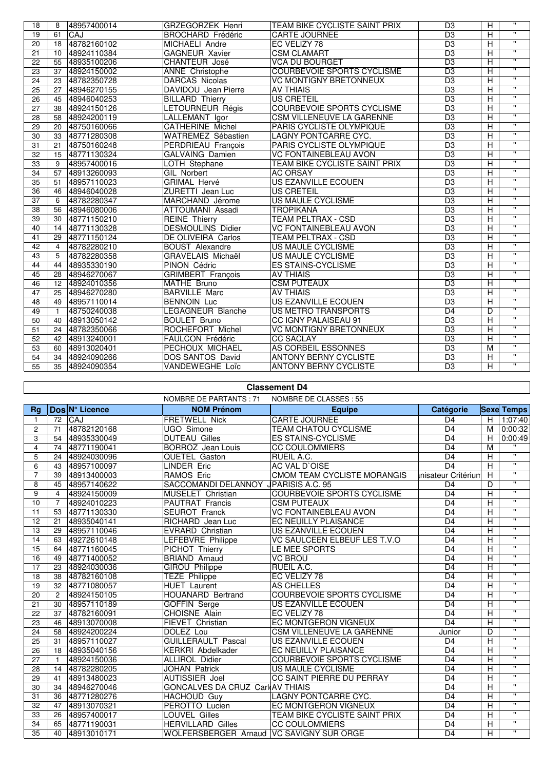| 18 | 8              | 48957400014    | <b>GRZEGORZEK Henri</b>  | TEAM BIKE CYCLISTE SAINT PRIX        | D <sub>3</sub>  | H                       | $\mathbf{H}$            |
|----|----------------|----------------|--------------------------|--------------------------------------|-----------------|-------------------------|-------------------------|
| 19 | 61             | CAJ            | <b>BROCHARD Frédéric</b> | <b>CARTE JOURNEE</b>                 | $\overline{D3}$ | Ξ                       | $\overline{\mathbf{u}}$ |
| 20 | 18             | 48782160102    | MICHAELI Andre           | EC VELIZY 78                         | D <sub>3</sub>  | Ξ                       | Ŧ                       |
| 21 |                | 10 48924110384 | <b>GAGNEUR Xavier</b>    | <b>CSM CLAMART</b>                   | D <sub>3</sub>  | H                       | $\overline{\mathbf{u}}$ |
| 22 | 55             | 48935100206    | CHANTEUR José            | <b>VCA DU BOURGET</b>                | $\overline{D3}$ | $\overline{H}$          | π                       |
| 23 |                | 37 48924150002 | ANNE Christophe          | COURBEVOIE SPORTS CYCLISME           | $\overline{D3}$ | $\overline{\mathsf{H}}$ | $\overline{\mathbf{u}}$ |
| 24 |                | 23 48782350728 | DARCAS Nicolas           | <b>VC MONTIGNY BRETONNEUX</b>        | D <sub>3</sub>  | H                       | $\overline{\mathbf{u}}$ |
| 25 | 27             | 48946270155    | DAVIDOU Jean Pierre      | <b>AV THIAIS</b>                     | D <sub>3</sub>  | H                       | π                       |
| 26 |                | 45 48946040253 | <b>BILLARD Thierry</b>   | <b>US CRETEIL</b>                    | $\overline{D3}$ | $\overline{\mathsf{H}}$ | π                       |
| 27 | 38             | 48924150126    | LETOURNEUR Régis         | <b>COURBEVOIE SPORTS CYCLISME</b>    | D3              | H                       | $\overline{u}$          |
| 28 | 58             | 48924200119    | LALLEMANT Igor           | <b>CSM VILLENEUVE LA GARENNE</b>     | $\overline{D3}$ | Ξ                       | $\overline{\mathbf{u}}$ |
| 29 | 20             | 48750160066    | <b>CATHERINE Michel</b>  | PARIS CYCLISTE OLYMPIQUE             | $\overline{D3}$ | Н                       | Ŧ                       |
| 30 | 33             | 48771280308    | WATREMEZ Sébastien       | LAGNY PONTCARRE CYC.                 | D <sub>3</sub>  | Н                       | π                       |
| 31 | 21             | 48750160248    | PERDRIEAU François       | PARIS CYCLISTE OLYMPIQUE             | $\overline{D3}$ | H                       | $\overline{\mathbf{u}}$ |
| 32 | 15             | 48771130324    | <b>GALVAING Damien</b>   | <b>VC FONTAINEBLEAU AVON</b>         | D <sub>3</sub>  | н                       | $\overline{\mathbf{u}}$ |
| 33 | 9              | 48957400016    | LOTH Stephane            | <b>TEAM BIKE CYCLISTE SAINT PRIX</b> | D <sub>3</sub>  | н                       | $\overline{\mathbf{u}}$ |
| 34 | 57             | 48913260093    | <b>GIL Norbert</b>       | <b>AC ORSAY</b>                      | D <sub>3</sub>  | Н                       | $\overline{\mathbf{u}}$ |
| 35 | 51             | 48957110023    | GRIMAL Hervé             | US EZANVILLE ECOUEN                  | D <sub>3</sub>  | Н                       | $\mathbf{H}$            |
| 36 | 46             | 48946040028    | ZURETTI Jean Luc         | <b>US CRETEIL</b>                    | D <sub>3</sub>  | Н                       | $\overline{\mathbf{u}}$ |
| 37 | 6              | 48782280347    | MARCHAND Jérome          | <b>US MAULE CYCLISME</b>             | $\overline{D3}$ | Ή                       | $\overline{\mathbf{u}}$ |
| 38 | 56             | 48946080006    | <b>ATTOUMANI Assadi</b>  | <b>TROPIKANA</b>                     | $\overline{D3}$ | $\overline{\mathsf{H}}$ | $\overline{\mathbf{u}}$ |
| 39 | 30             | 48771150210    | <b>REINE</b> Thierry     | <b>TEAM PELTRAX - CSD</b>            | D <sub>3</sub>  | $\overline{\mathsf{H}}$ | $\overline{\mathbf{u}}$ |
| 40 | 14             | 48771130328    | <b>DESMOULINS Didier</b> | <b>VC FONTAINEBLEAU AVON</b>         | D <sub>3</sub>  | H                       | $\overline{u}$          |
| 41 | 29             | 48771150124    | DE OLIVEIRA Carlos       | TEAM PELTRAX - CSD                   | D <sub>3</sub>  | H                       | $\overline{\mathbf{u}}$ |
| 42 | $\overline{4}$ | 48782280210    | <b>BOUST Alexandre</b>   | US MAULE CYCLISME                    | $\overline{D3}$ | $\overline{\mathsf{H}}$ | $\overline{\mathbf{u}}$ |
| 43 | 5              | 48782280358    | GRAVELAIS Michaël        | US MAULE CYCLISME                    | D <sub>3</sub>  | H                       | $\overline{\mathbf{u}}$ |
| 44 | 44             | 48935330190    | PINON Cédric             | <b>ES STAINS-CYCLISME</b>            | D <sub>3</sub>  | H                       | $\overline{\mathbf{u}}$ |
| 45 | 28             | 48946270067    | <b>GRIMBERT François</b> | <b>AV THIAIS</b>                     | $\overline{D3}$ | $\overline{\mathsf{H}}$ | π                       |
| 46 | 12             | 48924010356    | <b>MATHE Bruno</b>       | <b>CSM PUTEAUX</b>                   | D3              | Ξ                       | $\overline{\mathbf{u}}$ |
| 47 | 25             | 48946270280    | <b>BARVILLE Marc</b>     | <b>AV THIAIS</b>                     | $\overline{D3}$ | Н                       | $\overline{\mathbf{u}}$ |
| 48 | 49             | 48957110014    | <b>BENNOIN Luc</b>       | US EZANVILLE ECOUEN                  | D <sub>3</sub>  | Н                       | $\mathbf{u}$            |
| 49 | $\overline{1}$ | 48750240038    | LEGAGNEUR Blanche        | <b>US METRO TRANSPORTS</b>           | D <sub>4</sub>  | D                       | $\mathbf{H}$            |
| 50 | 40             | 48913050142    | <b>BOULET Bruno</b>      | CC IGNY PALAISEAU 91                 | D <sub>3</sub>  | Η                       | $\overline{\mathbf{u}}$ |
| 51 | 24             | 48782350066    | ROCHEFORT Michel         | <b>VC MONTIGNY BRETONNEUX</b>        | D <sub>3</sub>  | н                       | $\overline{u}$          |
| 52 | 42             | 48913240001    | <b>FAULCON Frédéric</b>  | <b>CC SACLAY</b>                     | D <sub>3</sub>  | Н                       | $\overline{\mathbf{u}}$ |
| 53 | 60             | 48913020401    | PECHOUX MICHAEL          | AS CORBEIL ESSONNES                  | D <sub>3</sub>  | M                       | $\overline{u}$          |
| 54 | 34             | 48924090266    | DOS SANTOS David         | <b>ANTONY BERNY CYCLISTE</b>         | $\overline{D3}$ | $\overline{H}$          | $\mathbf{u}$            |
| 55 | 35             | 48924090354    | VANDEWEGHE Loïc          | <b>ANTONY BERNY CYCLISTE</b>         | D3              | $\overline{H}$          | $\overline{u}$          |
|    |                |                |                          |                                      |                 |                         |                         |

## **Classement D4**

|                         |                |                | <b>NOMBRE DE PARTANTS: 71</b>              | NOMBRE DE CLASSES : 55            |                     |    |                         |
|-------------------------|----------------|----------------|--------------------------------------------|-----------------------------------|---------------------|----|-------------------------|
| Ra                      |                | Dos N° Licence | <b>NOM Prénom</b>                          | <b>Equipe</b>                     | <b>Catégorie</b>    |    | <b>Sexe Temps</b>       |
| $\mathbf{1}$            | 72             | <b>CAJ</b>     | <b>FRETWELL Nick</b>                       | <b>CARTE JOURNEE</b>              | D <sub>4</sub>      | H  | 1:07:40                 |
| $\overline{c}$          | 71             | 48782120168    | UGO Simone                                 | TEAM CHATOU CYCLISME              | D <sub>4</sub>      | M  | 0:00:32                 |
| 3                       | 54             | 48935330049    | <b>DUTEAU Gilles</b>                       | <b>ES STAINS-CYCLISME</b>         | D <sub>4</sub>      | H. | 0:00:49                 |
| $\overline{\mathbf{4}}$ | 74             | 48771190041    | <b>BORROZ</b> Jean Louis                   | <b>CC COULOMMIERS</b>             | D <sub>4</sub>      | M  | $\overline{u}$          |
| 5                       | 24             | 48924030096    | QUETEL Gaston                              | RUEIL A.C.                        | D <sub>4</sub>      | н  | $\overline{u}$          |
| 6                       | 43             | 48957100097    | <b>LINDER Eric</b>                         | AC VAL D'OISE                     | D <sub>4</sub>      | н  | $\overline{\mathbf{u}}$ |
| $\overline{7}$          | 39             | 48913400003    | RAMOS Eric                                 | CMOM TEAM CYCLISTE MORANGIS       | inisateur Critérium | H  | $\mathbf{H}$            |
| 8                       | 45             | 48957140622    | SACCOMANDI DELANNOY JPARISIS A.C. 95       |                                   | D <sub>4</sub>      | D  | $\mathbf{u}$            |
| 9                       | $\overline{4}$ | 48924150009    | MUSELET Christian                          | <b>COURBEVOIE SPORTS CYCLISME</b> | $\overline{D4}$     | Н  | π                       |
| 10                      | 7              | 48924010223    | PAUTRAT Francis                            | <b>CSM PUTEAUX</b>                | $\overline{D4}$     | Н  | π                       |
| 11                      | 53             | 48771130330    | <b>SEUROT Franck</b>                       | <b>VC FONTAINEBLEAU AVON</b>      | D <sub>4</sub>      | Н  | $\mathbf{H}$            |
| 12                      | 21             | 48935040141    | RICHARD Jean Luc                           | EC NEUILLY PLAISANCE              | D <sub>4</sub>      | Н  | $\mathbf{H}$            |
| 13                      | 29             | 48957110046    | EVRARD Christian                           | US EZANVILLE ECOUEN               | D <sub>4</sub>      | Н  | $\mathbf{H}$            |
| 14                      | 63             | 49272610148    | LEFEBVRE Philippe                          | VC SAULCEEN ELBEUF LES T.V.O      | D <sub>4</sub>      | Н  | $\mathbf{H}$            |
| 15                      | 64             | 48771160045    | PICHOT Thierry                             | LE MEE SPORTS                     | D <sub>4</sub>      | н  | $\mathbf{H}$            |
| 16                      | 49             | 48771400052    | <b>BRIAND Arnaud</b>                       | <b>VC BROU</b>                    | D <sub>4</sub>      | Η  | $\mathbf{H}$            |
| 17                      | 23             | 48924030036    | <b>GIROU Philippe</b>                      | RUEIL A.C.                        | D <sub>4</sub>      | н  | $\mathbf{H}$            |
| 18                      | 38             | 48782160108    | TEZE Philippe                              | EC VELIZY 78                      | D <sub>4</sub>      | н  | $\mathbf{H}$            |
| 19                      | 32             | 48771080057    | <b>HUET Laurent</b>                        | AS CHELLES                        | D <sub>4</sub>      | Η  |                         |
| 20                      | $\overline{2}$ | 48924150105    | HOUANARD Bertrand                          | COURBEVOIE SPORTS CYCLISME        | D <sub>4</sub>      | Η  | $\mathbf{u}$            |
| 21                      | 30             | 48957110189    | <b>GOFFIN Serge</b>                        | US EZANVILLE ECOUEN               | D <sub>4</sub>      | Η  | $\mathbf{u}$            |
| 22                      | 37             | 48782160091    | CHOISNE Alain                              | EC VELIZY 78                      | D <sub>4</sub>      | Η  | $\mathbf{u}$            |
| 23                      | 46             | 48913070008    | FIEVET Christian                           | EC MONTGERON VIGNEUX              | D <sub>4</sub>      | н  | $\mathbf{u}$            |
| 24                      | 58             | 48924200224    | DOLEZ Lou                                  | <b>CSM VILLENEUVE LA GARENNE</b>  | Junior              | D  | $\mathbf{u}$            |
| 25                      | 31             | 48957110027    | <b>GUILLERAULT Pascal</b>                  | US EZANVILLE ECOUEN               | D <sub>4</sub>      | H  | $\mathbf{u}$            |
| 26                      | 18             | 48935040156    | KERKRI Abdelkader                          | <b>EC NEUILLY PLAISANCE</b>       | D <sub>4</sub>      | Η  | $\mathbf{u}$            |
| 27                      |                | 48924150036    | <b>ALLIROL Didier</b>                      | <b>COURBEVOIE SPORTS CYCLISME</b> | $\overline{D4}$     | Η  | π                       |
| 28                      | 14             | 48782280205    | <b>JOHAN Patrick</b>                       | US MAULE CYCLISME                 | $\overline{D4}$     | Η  | $\overline{\mathbf{u}}$ |
| 29                      | 41             | 48913480023    | AUTISSIER Joel                             | CC SAINT PIERRE DU PERRAY         | D <sub>4</sub>      | Η  | $\mathbf{u}$            |
| 30                      | 34             | 48946270046    | GONCALVES DA CRUZ Carl(AV THIAIS           |                                   | D <sub>4</sub>      | Н  | $\mathbf{H}$            |
| 31                      | 36             | 48771280276    | <b>HACHOUD Guy</b>                         | <b>LAGNY PONTCARRE CYC.</b>       | D <sub>4</sub>      | Н  | $\mathbf{H}$            |
| 32                      | 47             | 48913070321    | PEROTTO Lucien                             | EC MONTGERON VIGNEUX              | D <sub>4</sub>      | Н  | $\mathbf{H}$            |
| 33                      | 26             | 48957400017    | LOUVEL Gilles                              | TEAM BIKE CYCLISTE SAINT PRIX     | D <sub>4</sub>      | Н  | $\mathbf{H}$            |
| 34                      | 65             | 48771190031    | <b>HERVILLARD Gilles</b>                   | <b>CC COULOMMIERS</b>             | D <sub>4</sub>      | Н  | $\mathbf{H}$            |
| 35                      | 40             | 48913010171    | WOLFERSBERGER Arnaud   VC SAVIGNY SUR ORGE |                                   | D <sub>4</sub>      | H  | $\mathbf{H}$            |